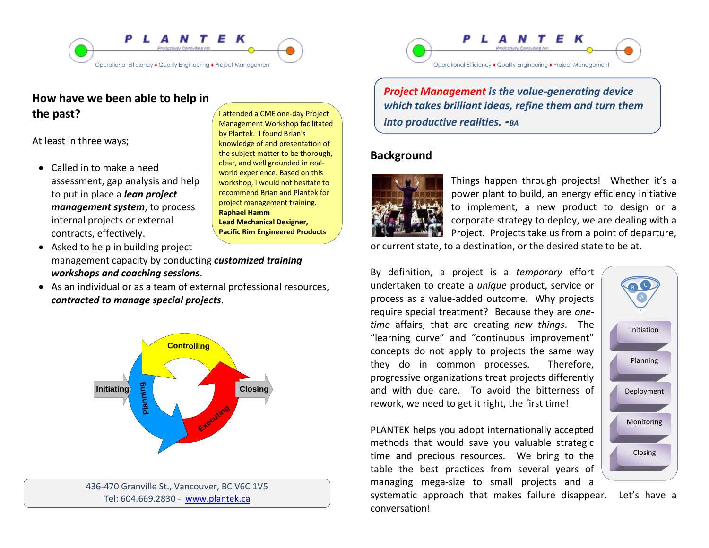

# **How have we been able to help in the past?**

At least in three ways;

 Called in to make a need assessment, gap analysis and help to put in place a *lean project management system*, to process internal projects or external contracts, effectively.

I attended a CME one-day Project Management Workshop facilitated by Plantek. I found Brian's knowledge of and presentation of the subject matter to be thorough, clear, and well grounded in realworld experience. Based on this workshop, I would not hesitate to recommend Brian and Plantek for project management training. **Raphael Hamm Lead Mechanical Designer, Pacific Rim Engineered Products**

- Asked to help in building project management capacity by conducting *customized training workshops and coaching sessions*.
- As an individual or as a team of external professional resources, *contracted to manage special projects*.



436-470 Granville St., Vancouver, BC V6C 1V5 Tel: 604.669.2830 - [www.plantek.ca](file:///C:\Documents%20and%20Settings\Brian%20Amouzegar\My%20Documents\PLANTEK\Marketing\Promotional%20Material\Brochues\Ops%20Efficiency%20Brochure\www.plantek.ca)



*Project Management is the value-generating device which takes brilliant ideas, refine them and turn them into productive realities. -BA*

### **Background**



Things happen through projects! Whether it's a power plant to build, an energy efficiency initiative to implement, a new product to design or a corporate strategy to deploy, we are dealing with a Project. Projects take us from a point of departure,

or current state, to a destination, or the desired state to be at.

By definition, a project is a *temporary* effort undertaken to create a *unique* product, service or process as a value-added outcome. Why projects require special treatment? Because they are *onetime* affairs, that are creating *new things*. The "learning curve" and "continuous improvement" concepts do not apply to projects the same way they do in common processes. Therefore, progressive organizations treat projects differently and with due care. To avoid the bitterness of rework, we need to get it right, the first time!

PLANTEK helps you adopt internationally accepted methods that would save you valuable strategic time and precious resources. We bring to the table the best practices from several years of managing mega-size to small projects and a

systematic approach that makes failure disappear. Let's have a conversation!